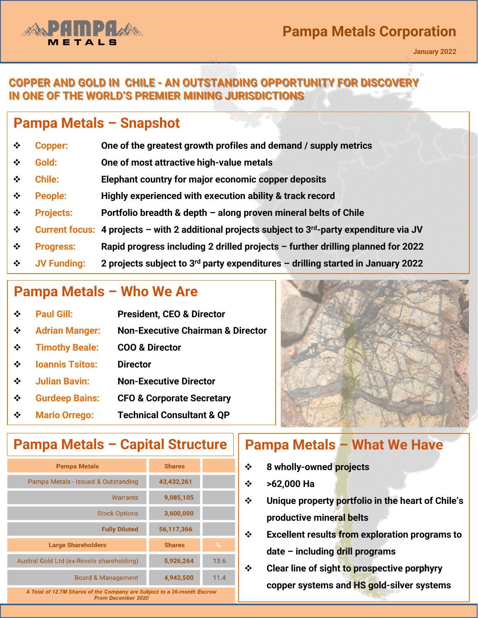#### **COPPER AND GOLD IN CHILE - AN OUTSTANDING OPPORTUNITY FOR DISCOVERY IN ONE OF THE WORLD'S PREMIER MINING JURISDICTIONS**

## **Pampa Metals – Snapshot**

- ❖ **Copper: One of the greatest growth profiles and demand / supply metrics**
- ❖ **Gold: One of most attractive high-value metals**
- ❖ **Chile: Elephant country for major economic copper deposits**
- **Pampa Metals Corporation (the "Company") - Disclaimer** ❖ **People: Highly experienced with execution ability & track record**
- ❖ **Projects: Portfolio breadth & depth – along proven mineral belts of Chile**
- ❖ **Current focus: 4 projects – with 2 additional projects subject to 3rd-party expenditure via JV**
- ❖ **Progress: Rapid progress including 2 drilled projects – further drilling planned for 2022**
- ❖ **JV Funding: 2 projects subject to 3rd party expenditures – drilling started in January 2022**

## **Pampa Metals – Who We Are**

| $\mathbf{r}^*_{\mathbf{r}^*}$ | <b>Paul Gill:</b>      | <b>President, CEO &amp; Director</b>         |
|-------------------------------|------------------------|----------------------------------------------|
| ❖                             | <b>Adrian Manger:</b>  | <b>Non-Executive Chairman &amp; Director</b> |
| ❖                             | <b>Timothy Beale:</b>  | <b>COO &amp; Director</b>                    |
| $\mathbf{A}$                  | <b>Ioannis Tsitos:</b> | <b>Director</b>                              |
| $\cdot$                       | <b>Julian Bavin:</b>   | <b>Non-Executive Director</b>                |
| $\cdot$                       | <b>Gurdeep Bains:</b>  | <b>CFO &amp; Corporate Secretary</b>         |
| $\cdot$                       | <b>Mario Orrego:</b>   | <b>Technical Consultant &amp; QP</b>         |



## **Pampa Metals – What We Have Pampa Metals – Capital Structure**

| <b>Pampa Metals</b>                                                                                  | <b>Shares</b> |      |  |  |
|------------------------------------------------------------------------------------------------------|---------------|------|--|--|
| Pampa Metals - Issued & Outstanding                                                                  | 43,432,261    |      |  |  |
| Warrants                                                                                             | 9,085,105     |      |  |  |
| <b>Stock Options</b>                                                                                 | 3,600,000     |      |  |  |
| <b>Fully Diluted</b>                                                                                 | 56,117,366    |      |  |  |
| <b>Large Shareholders</b>                                                                            | <b>Shares</b> | %    |  |  |
| Austral Gold Ltd (ex-Revelo shareholding)                                                            | 5,926,264     | 13.6 |  |  |
| <b>Board &amp; Management</b>                                                                        | 4,942,500     | 11.4 |  |  |
| A Total of 12.7M Shares of the Company are Subject to a 36-month Escrow<br><b>From December 2020</b> |               |      |  |  |

- ❖ **8 wholly-owned projects**
- ❖ **>62,000 Ha**
- ❖ **Unique property portfolio in the heart of Chile's productive mineral belts**
- ❖ **Excellent results from exploration programs to date – including drill programs**
- ❖ **Clear line of sight to prospective porphyry copper systems and HS gold-silver systems**